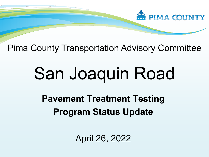

Pima County Transportation Advisory Committee

# San Joaquin Road

**Pavement Treatment Testing Program Status Update**

April 26, 2022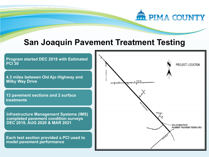

#### **San Joaquin Pavement Treatment Testing**

**Program started DEC 2018 with Estimated PCI 30 4.3 miles between Old Ajo Highway and Milky Way Drive**

**13 pavement sections and 2 surface treatments**

**Infrastructure Management Systems (IMS) completed pavement condition surveys DEC 2019, AUG 2020 & MAR 2021**

**Each test section provided a PCI used to model pavement performance**

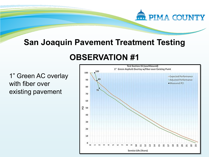

### **San Joaquin Pavement Treatment Testing**

## **OBSERVATION #1**

1" Green AC overlay with fiber over existing pavement

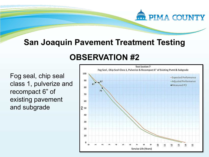# **WILL PIMA COUNTY**

## **San Joaquin Pavement Treatment Testing**

# **OBSERVATION #2**

Fog seal, chip seal class 1, pulverize and recompact 6" of existing pavement and subgrade

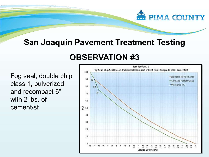# **PIMA COUNTY**

## **San Joaquin Pavement Treatment Testing**

# **OBSERVATION #3**

Fog seal, double chip class 1, pulverized and recompact 6" with 2 lbs. of cement/sf

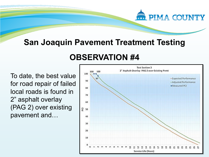# **PIMA COUNTY**

#### **San Joaquin Pavement Treatment Testing**

## **OBSERVATION #4**

To date, the best value for road repair of failed local roads is found in 2" asphalt overlay (PAG 2) over existing pavement and…

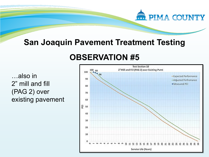

#### **San Joaquin Pavement Treatment Testing**

## **OBSERVATION #5**

…also in 2" mill and fill (PAG 2) over existing pavement

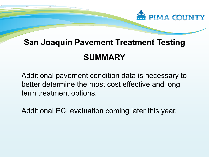

# **SUMMARY San Joaquin Pavement Treatment Testing**

Additional pavement condition data is necessary to better determine the most cost effective and long term treatment options.

Additional PCI evaluation coming later this year.